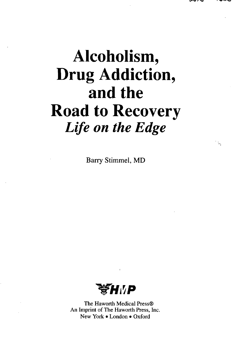## **Alcoholism, Drug Addiction, and the Road to Recovery** *Life on the Edge*

Barry Stimmel, MD



The Haworth Medical Press® An Imprint of The Haworth Press, Inc. New York • London • Oxford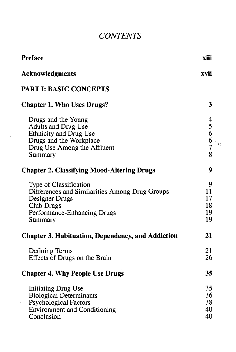## *CONTENTS*

| <b>Preface</b>                                                                                                                                            | xiii                            |
|-----------------------------------------------------------------------------------------------------------------------------------------------------------|---------------------------------|
| <b>Acknowledgments</b>                                                                                                                                    | xvii                            |
| <b>PART I: BASIC CONCEPTS</b>                                                                                                                             |                                 |
| <b>Chapter 1. Who Uses Drugs?</b>                                                                                                                         | 3                               |
| Drugs and the Young<br>Adults and Drug Use<br>Ethnicity and Drug Use<br>Drugs and the Workplace<br>Drug Use Among the Affluent<br>Summary                 | 45667<br>š.<br>8                |
| <b>Chapter 2. Classifying Mood-Altering Drugs</b>                                                                                                         | 9                               |
| <b>Type of Classification</b><br>Differences and Similarities Among Drug Groups<br>Designer Drugs<br>Club Drugs<br>Performance-Enhancing Drugs<br>Summary | 9<br>11<br>17<br>18<br>19<br>19 |
| <b>Chapter 3. Habituation, Dependency, and Addiction</b>                                                                                                  | 21                              |
| Defining Terms<br>Effects of Drugs on the Brain                                                                                                           | 21<br>26                        |
| <b>Chapter 4. Why People Use Drugs</b>                                                                                                                    | 35                              |
| <b>Initiating Drug Use</b><br><b>Biological Determinants</b><br><b>Psychological Factors</b><br><b>Environment and Conditioning</b><br>Conclusion         | 35<br>36<br>38<br>40<br>40      |

 $\bar{\mathbf{v}}$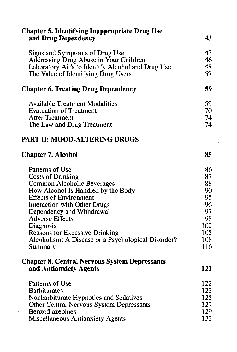| <b>Chapter 5. Identifying Inappropriate Drug Use</b> |                |
|------------------------------------------------------|----------------|
| and Drug Dependency                                  | 43             |
| Signs and Symptoms of Drug Use                       | 43             |
| Addressing Drug Abuse in Your Children               | 46             |
| Laboratory Aids to Identify Alcohol and Drug Use     | 48             |
| The Value of Identifying Drug Users                  | 57             |
| <b>Chapter 6. Treating Drug Dependency</b>           | 59             |
| <b>Available Treatment Modalities</b>                | 59             |
| <b>Evaluation of Treatment</b>                       | 70             |
| <b>After Treatment</b>                               | 74             |
| The Law and Drug Treatment                           | 74             |
| <b>PART II: MOOD-ALTERING DRUGS</b>                  | $\mathbb{V}_2$ |
| <b>Chapter 7. Alcohol</b>                            | 85             |
| Patterns of Use                                      | 86             |
| <b>Costs of Drinking</b>                             | 87             |
| <b>Common Alcoholic Beverages</b>                    | 88             |
| How Alcohol Is Handled by the Body                   | 90             |
| <b>Effects of Environment</b>                        | 95             |
| <b>Interaction with Other Drugs</b>                  | 96             |
| Dependency and Withdrawal                            | 97             |
| <b>Adverse Effects</b>                               | 98             |
| Diagnosis                                            | 102            |
| <b>Reasons for Excessive Drinking</b>                | 105            |
| Alcoholism: A Disease or a Psychological Disorder?   | 108            |
| Summary                                              | 116            |
| <b>Chapter 8. Central Nervous System Depressants</b> |                |
| and Antianxiety Agents                               | 121            |
| Patterns of Use                                      | 122            |
| <b>Barbiturates</b>                                  | 123            |
| Nonbarbiturate Hypnotics and Sedatives               | 125            |
| <b>Other Central Nervous System Depressants</b>      | 127            |
| Benzodiazepines                                      | 129            |
| <b>Miscellaneous Antianxiety Agents</b>              | 133            |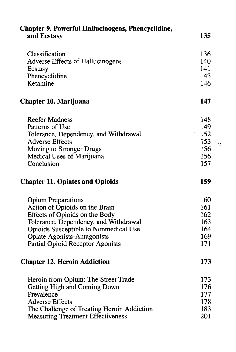| <b>Chapter 9. Powerful Hallucinogens, Phencyclidine,</b> |             |
|----------------------------------------------------------|-------------|
| and Ecstasy                                              | 135         |
| Classification                                           | 136         |
| <b>Adverse Effects of Hallucinogens</b>                  | 140         |
| Ecstasy                                                  | 141         |
| Phencyclidine                                            | 143         |
| Ketamine                                                 | 146         |
| Chapter 10. Marijuana                                    | 147         |
| <b>Reefer Madness</b>                                    | 148         |
| Patterns of Use                                          | 149         |
| Tolerance, Dependency, and Withdrawal                    | 152         |
| <b>Adverse Effects</b>                                   | 153<br>i is |
| Moving to Stronger Drugs                                 | 156         |
| Medical Uses of Marijuana                                | 156         |
| Conclusion                                               | 157         |
| <b>Chapter 11. Opiates and Opioids</b>                   | 159         |
| <b>Opium Preparations</b>                                | 160         |
| Action of Opioids on the Brain                           | 161         |
| Effects of Opioids on the Body                           | 162         |
| Tolerance, Dependency, and Withdrawal                    | 163         |
| Opioids Susceptible to Nonmedical Use                    | 164         |
| <b>Opiate Agonists-Antagonists</b>                       | 169         |
| <b>Partial Opioid Receptor Agonists</b>                  | 171         |
| <b>Chapter 12. Heroin Addiction</b>                      | 173         |
| Heroin from Opium: The Street Trade                      | 173         |
| <b>Getting High and Coming Down</b>                      | 176         |
| Prevalence                                               | 177         |
| <b>Adverse Effects</b>                                   | 178         |
| The Challenge of Treating Heroin Addiction               | 183         |
| <b>Measuring Treatment Effectiveness</b>                 | 201         |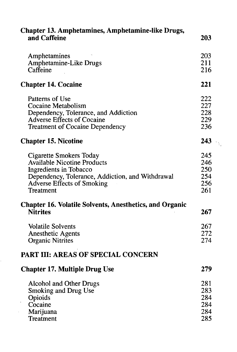| <b>Chapter 13. Amphetamines, Amphetamine-like Drugs,</b><br>and Caffeine          | 203 |
|-----------------------------------------------------------------------------------|-----|
| Amphetamines                                                                      | 203 |
| Amphetamine-Like Drugs                                                            | 211 |
| Caffeine                                                                          | 216 |
| <b>Chapter 14. Cocaine</b>                                                        | 221 |
| Patterns of Use                                                                   | 222 |
| Cocaine Metabolism                                                                | 227 |
| Dependency, Tolerance, and Addiction                                              | 228 |
| Adverse Effects of Cocaine                                                        | 229 |
| <b>Treatment of Cocaine Dependency</b>                                            | 236 |
| <b>Chapter 15. Nicotine</b>                                                       | 243 |
| <b>Cigarette Smokers Today</b>                                                    | 245 |
| <b>Available Nicotine Products</b>                                                | 246 |
| Ingredients in Tobacco                                                            | 250 |
| Dependency, Tolerance, Addiction, and Withdrawal                                  | 254 |
| <b>Adverse Effects of Smoking</b>                                                 | 256 |
| Treatment                                                                         | 261 |
| <b>Chapter 16. Volatile Solvents, Anesthetics, and Organic</b><br><b>Nitrites</b> | 267 |
| <b>Volatile Solvents</b>                                                          | 267 |
| <b>Anesthetic Agents</b>                                                          | 272 |
| <b>Organic Nitrites</b>                                                           | 274 |
| <b>PART III: AREAS OF SPECIAL CONCERN</b>                                         |     |
| <b>Chapter 17. Multiple Drug Use</b>                                              | 279 |
| <b>Alcohol and Other Drugs</b>                                                    | 281 |
| Smoking and Drug Use                                                              | 283 |
|                                                                                   | 284 |
| Opioids                                                                           |     |
| Cocaine                                                                           | 284 |
| Marijuana                                                                         | 284 |
| Treatment                                                                         | 285 |
|                                                                                   |     |

Ļ,